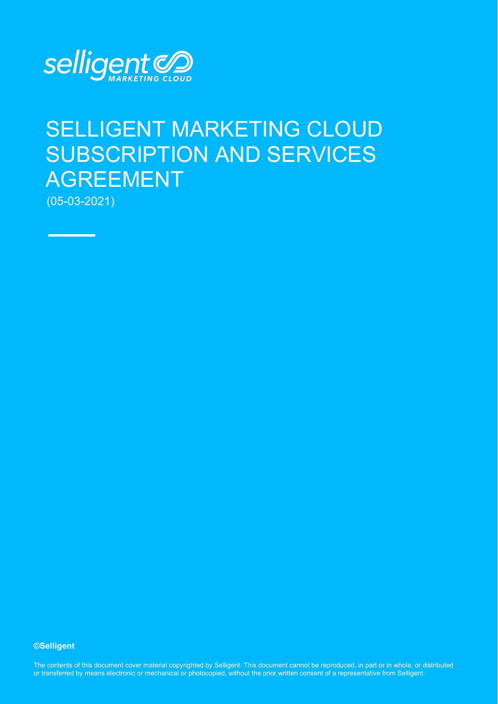

# SELLIGENT MARKETING CLOUD SUBSCRIPTION AND SERVICES AGREEMENT

(05-03-2021)

**©Selligent** 

The contents of this document cover material copyrighted by Selligent. This document cannot be reproduced, in part or in whole, or distributed or transferred by means electronic or mechanical or photocopied, without the prior written consent of a representative from Selligent.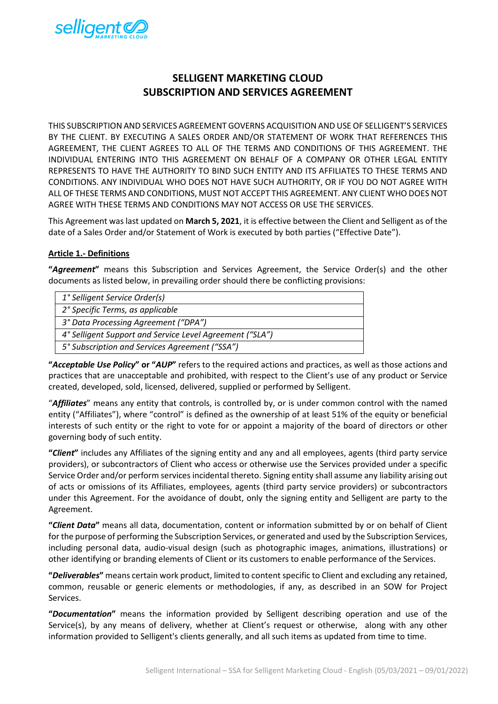

# **SELLIGENT MARKETING CLOUD SUBSCRIPTION AND SERVICES AGREEMENT**

THIS SUBSCRIPTION AND SERVICES AGREEMENT GOVERNS ACQUISITION AND USE OF SELLIGENT'S SERVICES BY THE CLIENT. BY EXECUTING A SALES ORDER AND/OR STATEMENT OF WORK THAT REFERENCES THIS AGREEMENT, THE CLIENT AGREES TO ALL OF THE TERMS AND CONDITIONS OF THIS AGREEMENT. THE INDIVIDUAL ENTERING INTO THIS AGREEMENT ON BEHALF OF A COMPANY OR OTHER LEGAL ENTITY REPRESENTS TO HAVE THE AUTHORITY TO BIND SUCH ENTITY AND ITS AFFILIATES TO THESE TERMS AND CONDITIONS. ANY INDIVIDUAL WHO DOES NOT HAVE SUCH AUTHORITY, OR IF YOU DO NOT AGREE WITH ALL OF THESE TERMS AND CONDITIONS, MUST NOT ACCEPT THIS AGREEMENT. ANY CLIENT WHO DOES NOT AGREE WITH THESE TERMS AND CONDITIONS MAY NOT ACCESS OR USE THE SERVICES.

This Agreement was last updated on **March 5, 2021**, it is effective between the Client and Selligent as of the date of a Sales Order and/or Statement of Work is executed by both parties ("Effective Date").

# **Article 1.- Definitions**

**"***Agreement***"** means this Subscription and Services Agreement, the Service Order(s) and the other documents as listed below, in prevailing order should there be conflicting provisions:

| 1° Selligent Service Order(s)                            |
|----------------------------------------------------------|
| 2° Specific Terms, as applicable                         |
| 3° Data Processing Agreement ("DPA")                     |
| 4° Selligent Support and Service Level Agreement ("SLA") |
| 5° Subscription and Services Agreement ("SSA")           |
|                                                          |

**"***Acceptable Use Policy***" or "***AUP***"** refers to the required actions and practices, as well as those actions and practices that are unacceptable and prohibited, with respect to the Client's use of any product or Service created, developed, sold, licensed, delivered, supplied or performed by Selligent.

"*Affiliates*" means any entity that controls, is controlled by, or is under common control with the named entity ("Affiliates"), where "control" is defined as the ownership of at least 51% of the equity or beneficial interests of such entity or the right to vote for or appoint a majority of the board of directors or other governing body of such entity.

**"***Client***"** includes any Affiliates of the signing entity and any and all employees, agents (third party service providers), or subcontractors of Client who access or otherwise use the Services provided under a specific Service Order and/or perform services incidental thereto. Signing entity shall assume any liability arising out of acts or omissions of its Affiliates, employees, agents (third party service providers) or subcontractors under this Agreement. For the avoidance of doubt, only the signing entity and Selligent are party to the Agreement.

**"***Client Data***"** means all data, documentation, content or information submitted by or on behalf of Client for the purpose of performing the Subscription Services, or generated and used by the Subscription Services, including personal data, audio-visual design (such as photographic images, animations, illustrations) or other identifying or branding elements of Client or its customers to enable performance of the Services.

**"***Deliverables***"** means certain work product, limited to content specific to Client and excluding any retained, common, reusable or generic elements or methodologies, if any, as described in an SOW for Project Services.

**"***Documentation***"** means the information provided by Selligent describing operation and use of the Service(s), by any means of delivery, whether at Client's request or otherwise, along with any other information provided to Selligent's clients generally, and all such items as updated from time to time.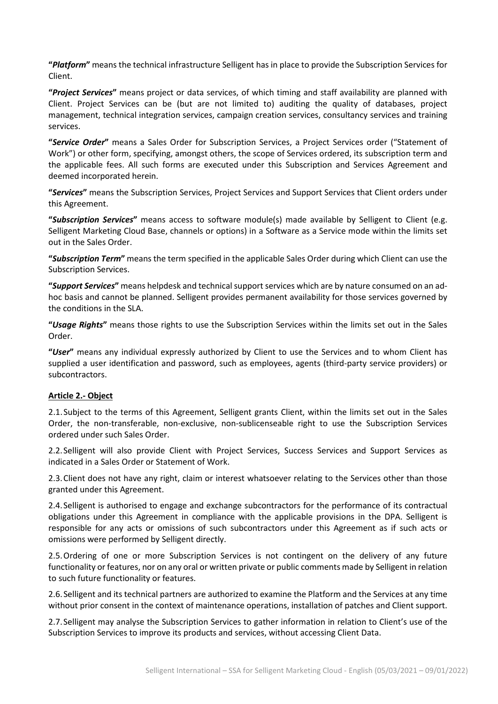**"***Platform***"** means the technical infrastructure Selligent has in place to provide the Subscription Services for Client.

**"***Project Services***"** means project or data services, of which timing and staff availability are planned with Client. Project Services can be (but are not limited to) auditing the quality of databases, project management, technical integration services, campaign creation services, consultancy services and training services.

**"***Service Order***"** means a Sales Order for Subscription Services, a Project Services order ("Statement of Work") or other form, specifying, amongst others, the scope of Services ordered, its subscription term and the applicable fees. All such forms are executed under this Subscription and Services Agreement and deemed incorporated herein.

**"***Services***"** means the Subscription Services, Project Services and Support Services that Client orders under this Agreement.

**"***Subscription Services***"** means access to software module(s) made available by Selligent to Client (e.g. Selligent Marketing Cloud Base, channels or options) in a Software as a Service mode within the limits set out in the Sales Order.

**"***Subscription Term***"** means the term specified in the applicable Sales Order during which Client can use the Subscription Services.

**"***Support Services***"** means helpdesk and technical support services which are by nature consumed on an adhoc basis and cannot be planned. Selligent provides permanent availability for those services governed by the conditions in the SLA.

**"***Usage Rights***"** means those rights to use the Subscription Services within the limits set out in the Sales Order.

**"***User***"** means any individual expressly authorized by Client to use the Services and to whom Client has supplied a user identification and password, such as employees, agents (third-party service providers) or subcontractors.

#### **Article 2.- Object**

2.1.Subject to the terms of this Agreement, Selligent grants Client, within the limits set out in the Sales Order, the non-transferable, non-exclusive, non-sublicenseable right to use the Subscription Services ordered under such Sales Order.

2.2.Selligent will also provide Client with Project Services, Success Services and Support Services as indicated in a Sales Order or Statement of Work.

2.3.Client does not have any right, claim or interest whatsoever relating to the Services other than those granted under this Agreement.

2.4.Selligent is authorised to engage and exchange subcontractors for the performance of its contractual obligations under this Agreement in compliance with the applicable provisions in the DPA. Selligent is responsible for any acts or omissions of such subcontractors under this Agreement as if such acts or omissions were performed by Selligent directly.

2.5.Ordering of one or more Subscription Services is not contingent on the delivery of any future functionality or features, nor on any oral or written private or public comments made by Selligent in relation to such future functionality or features.

2.6.Selligent and its technical partners are authorized to examine the Platform and the Services at any time without prior consent in the context of maintenance operations, installation of patches and Client support.

2.7.Selligent may analyse the Subscription Services to gather information in relation to Client's use of the Subscription Services to improve its products and services, without accessing Client Data.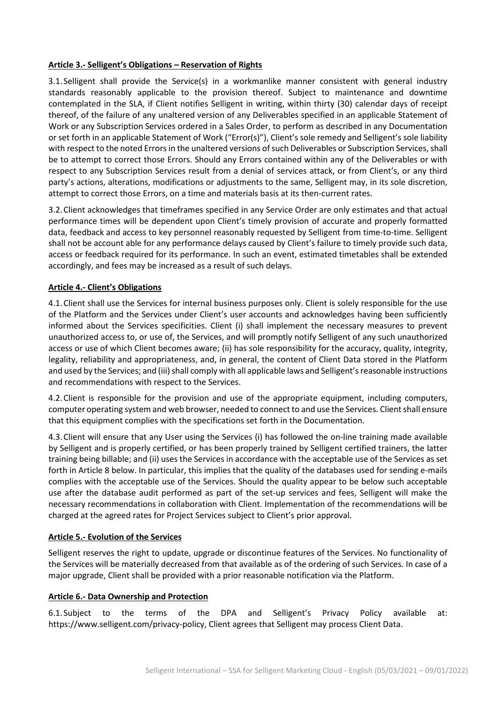# **Article 3.- Selligent's Obligations – Reservation of Rights**

3.1.Selligent shall provide the Service(s) in a workmanlike manner consistent with general industry standards reasonably applicable to the provision thereof. Subject to maintenance and downtime contemplated in the SLA, if Client notifies Selligent in writing, within thirty (30) calendar days of receipt thereof, of the failure of any unaltered version of any Deliverables specified in an applicable Statement of Work or any Subscription Services ordered in a Sales Order, to perform as described in any Documentation or set forth in an applicable Statement of Work ("Error(s)"), Client's sole remedy and Selligent's sole liability with respect to the noted Errors in the unaltered versions of such Deliverables or Subscription Services, shall be to attempt to correct those Errors. Should any Errors contained within any of the Deliverables or with respect to any Subscription Services result from a denial of services attack, or from Client's, or any third party's actions, alterations, modifications or adjustments to the same, Selligent may, in its sole discretion, attempt to correct those Errors, on a time and materials basis at its then-current rates.

3.2.Client acknowledges that timeframes specified in any Service Order are only estimates and that actual performance times will be dependent upon Client's timely provision of accurate and properly formatted data, feedback and access to key personnel reasonably requested by Selligent from time-to-time. Selligent shall not be account able for any performance delays caused by Client's failure to timely provide such data, access or feedback required for its performance. In such an event, estimated timetables shall be extended accordingly, and fees may be increased as a result of such delays.

# **Article 4.- Client's Obligations**

4.1.Client shall use the Services for internal business purposes only. Client is solely responsible for the use of the Platform and the Services under Client's user accounts and acknowledges having been sufficiently informed about the Services specificities. Client (i) shall implement the necessary measures to prevent unauthorized access to, or use of, the Services, and will promptly notify Selligent of any such unauthorized access or use of which Client becomes aware; (ii) has sole responsibility for the accuracy, quality, integrity, legality, reliability and appropriateness, and, in general, the content of Client Data stored in the Platform and used by the Services; and (iii) shall comply with all applicable laws and Selligent's reasonable instructions and recommendations with respect to the Services.

4.2.Client is responsible for the provision and use of the appropriate equipment, including computers, computer operating system and web browser, needed to connect to and use the Services. Client shall ensure that this equipment complies with the specifications set forth in the Documentation.

4.3.Client will ensure that any User using the Services (i) has followed the on-line training made available by Selligent and is properly certified, or has been properly trained by Selligent certified trainers, the latter training being billable; and (ii) uses the Services in accordance with the acceptable use of the Services as set forth in Article 8 below. In particular, this implies that the quality of the databases used for sending e-mails complies with the acceptable use of the Services. Should the quality appear to be below such acceptable use after the database audit performed as part of the set-up services and fees, Selligent will make the necessary recommendations in collaboration with Client. Implementation of the recommendations will be charged at the agreed rates for Project Services subject to Client's prior approval.

#### **Article 5.- Evolution of the Services**

Selligent reserves the right to update, upgrade or discontinue features of the Services. No functionality of the Services will be materially decreased from that available as of the ordering of such Services. In case of a major upgrade, Client shall be provided with a prior reasonable notification via the Platform.

#### **Article 6.- Data Ownership and Protection**

6.1.Subject to the terms of the DPA and Selligent's Privacy Policy available at: https://www.selligent.com/privacy-policy, Client agrees that Selligent may process Client Data.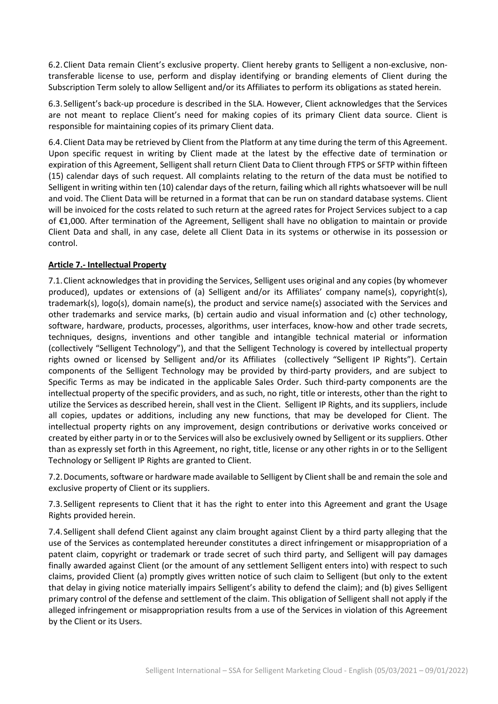6.2.Client Data remain Client's exclusive property. Client hereby grants to Selligent a non-exclusive, nontransferable license to use, perform and display identifying or branding elements of Client during the Subscription Term solely to allow Selligent and/or its Affiliates to perform its obligations as stated herein.

6.3.Selligent's back-up procedure is described in the SLA. However, Client acknowledges that the Services are not meant to replace Client's need for making copies of its primary Client data source. Client is responsible for maintaining copies of its primary Client data.

6.4.Client Data may be retrieved by Client from the Platform at any time during the term of this Agreement. Upon specific request in writing by Client made at the latest by the effective date of termination or expiration of this Agreement, Selligent shall return Client Data to Client through FTPS or SFTP within fifteen (15) calendar days of such request. All complaints relating to the return of the data must be notified to Selligent in writing within ten (10) calendar days of the return, failing which all rights whatsoever will be null and void. The Client Data will be returned in a format that can be run on standard database systems. Client will be invoiced for the costs related to such return at the agreed rates for Project Services subject to a cap of €1,000. After termination of the Agreement, Selligent shall have no obligation to maintain or provide Client Data and shall, in any case, delete all Client Data in its systems or otherwise in its possession or control.

# **Article 7.- Intellectual Property**

7.1.Client acknowledges that in providing the Services, Selligent uses original and any copies (by whomever produced), updates or extensions of (a) Selligent and/or its Affiliates' company name(s), copyright(s), trademark(s), logo(s), domain name(s), the product and service name(s) associated with the Services and other trademarks and service marks, (b) certain audio and visual information and (c) other technology, software, hardware, products, processes, algorithms, user interfaces, know-how and other trade secrets, techniques, designs, inventions and other tangible and intangible technical material or information (collectively "Selligent Technology"), and that the Selligent Technology is covered by intellectual property rights owned or licensed by Selligent and/or its Affiliates (collectively "Selligent IP Rights"). Certain components of the Selligent Technology may be provided by third-party providers, and are subject to Specific Terms as may be indicated in the applicable Sales Order. Such third-party components are the intellectual property of the specific providers, and as such, no right, title or interests, other than the right to utilize the Services as described herein, shall vest in the Client. Selligent IP Rights, and its suppliers, include all copies, updates or additions, including any new functions, that may be developed for Client. The intellectual property rights on any improvement, design contributions or derivative works conceived or created by either party in or to the Services will also be exclusively owned by Selligent or its suppliers. Other than as expressly set forth in this Agreement, no right, title, license or any other rights in or to the Selligent Technology or Selligent IP Rights are granted to Client.

7.2.Documents, software or hardware made available to Selligent by Client shall be and remain the sole and exclusive property of Client or its suppliers.

7.3.Selligent represents to Client that it has the right to enter into this Agreement and grant the Usage Rights provided herein.

7.4.Selligent shall defend Client against any claim brought against Client by a third party alleging that the use of the Services as contemplated hereunder constitutes a direct infringement or misappropriation of a patent claim, copyright or trademark or trade secret of such third party, and Selligent will pay damages finally awarded against Client (or the amount of any settlement Selligent enters into) with respect to such claims, provided Client (a) promptly gives written notice of such claim to Selligent (but only to the extent that delay in giving notice materially impairs Selligent's ability to defend the claim); and (b) gives Selligent primary control of the defense and settlement of the claim. This obligation of Selligent shall not apply if the alleged infringement or misappropriation results from a use of the Services in violation of this Agreement by the Client or its Users.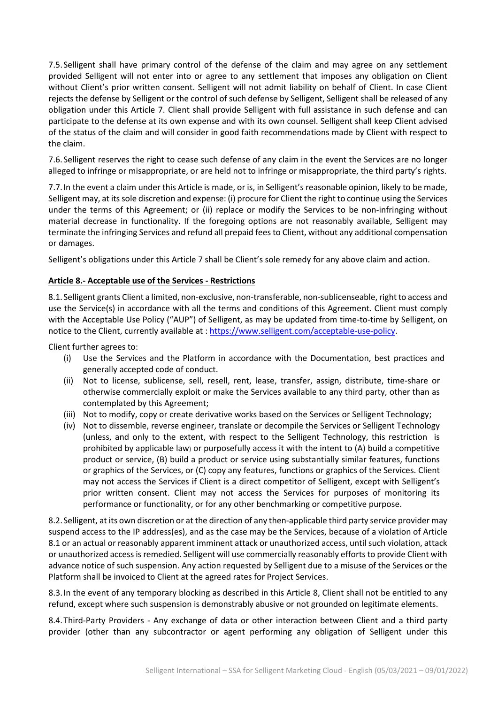7.5.Selligent shall have primary control of the defense of the claim and may agree on any settlement provided Selligent will not enter into or agree to any settlement that imposes any obligation on Client without Client's prior written consent. Selligent will not admit liability on behalf of Client. In case Client rejects the defense by Selligent or the control of such defense by Selligent, Selligent shall be released of any obligation under this Article 7. Client shall provide Selligent with full assistance in such defense and can participate to the defense at its own expense and with its own counsel. Selligent shall keep Client advised of the status of the claim and will consider in good faith recommendations made by Client with respect to the claim.

7.6.Selligent reserves the right to cease such defense of any claim in the event the Services are no longer alleged to infringe or misappropriate, or are held not to infringe or misappropriate, the third party's rights.

7.7.In the event a claim under this Article is made, or is, in Selligent's reasonable opinion, likely to be made, Selligent may, at its sole discretion and expense: (i) procure for Client the right to continue using the Services under the terms of this Agreement; or (ii) replace or modify the Services to be non-infringing without material decrease in functionality. If the foregoing options are not reasonably available, Selligent may terminate the infringing Services and refund all prepaid fees to Client, without any additional compensation or damages.

Selligent's obligations under this Article 7 shall be Client's sole remedy for any above claim and action.

#### **Article 8.- Acceptable use of the Services - Restrictions**

8.1. Selligent grants Client a limited, non-exclusive, non-transferable, non-sublicenseable, right to access and use the Service(s) in accordance with all the terms and conditions of this Agreement. Client must comply with the Acceptable Use Policy ("AUP") of Selligent, as may be updated from time-to-time by Selligent, on notice to the Client, currently available at [: https://www.selligent.com/acceptable-use-policy.](https://www.selligent.com/acceptable-use-policy)

Client further agrees to:

- (i) Use the Services and the Platform in accordance with the Documentation, best practices and generally accepted code of conduct.
- (ii) Not to license, sublicense, sell, resell, rent, lease, transfer, assign, distribute, time-share or otherwise commercially exploit or make the Services available to any third party, other than as contemplated by this Agreement;
- (iii) Not to modify, copy or create derivative works based on the Services or Selligent Technology;
- (iv) Not to dissemble, reverse engineer, translate or decompile the Services or Selligent Technology (unless, and only to the extent, with respect to the Selligent Technology, this restriction is prohibited by applicable law) or purposefully access it with the intent to (A) build a competitive product or service, (B) build a product or service using substantially similar features, functions or graphics of the Services, or (C) copy any features, functions or graphics of the Services. Client may not access the Services if Client is a direct competitor of Selligent, except with Selligent's prior written consent. Client may not access the Services for purposes of monitoring its performance or functionality, or for any other benchmarking or competitive purpose.

8.2.Selligent, at its own discretion or at the direction of any then-applicable third party service provider may suspend access to the IP address(es), and as the case may be the Services, because of a violation of Article 8.1 or an actual or reasonably apparent imminent attack or unauthorized access, until such violation, attack or unauthorized access is remedied. Selligent will use commercially reasonably efforts to provide Client with advance notice of such suspension. Any action requested by Selligent due to a misuse of the Services or the Platform shall be invoiced to Client at the agreed rates for Project Services.

8.3.In the event of any temporary blocking as described in this Article 8, Client shall not be entitled to any refund, except where such suspension is demonstrably abusive or not grounded on legitimate elements.

8.4.Third-Party Providers - Any exchange of data or other interaction between Client and a third party provider (other than any subcontractor or agent performing any obligation of Selligent under this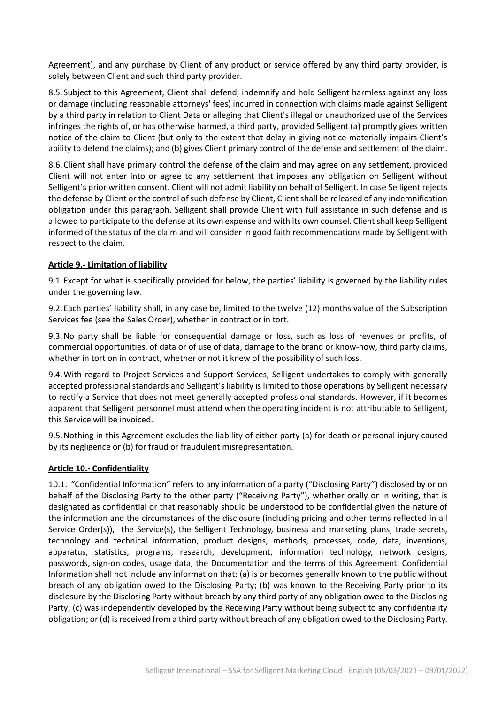Agreement), and any purchase by Client of any product or service offered by any third party provider, is solely between Client and such third party provider.

8.5.Subject to this Agreement, Client shall defend, indemnify and hold Selligent harmless against any loss or damage (including reasonable attorneys' fees) incurred in connection with claims made against Selligent by a third party in relation to Client Data or alleging that Client's illegal or unauthorized use of the Services infringes the rights of, or has otherwise harmed, a third party, provided Selligent (a) promptly gives written notice of the claim to Client (but only to the extent that delay in giving notice materially impairs Client's ability to defend the claims); and (b) gives Client primary control of the defense and settlement of the claim.

8.6.Client shall have primary control the defense of the claim and may agree on any settlement, provided Client will not enter into or agree to any settlement that imposes any obligation on Selligent without Selligent's prior written consent. Client will not admit liability on behalf of Selligent. In case Selligent rejects the defense by Client or the control of such defense by Client, Client shall be released of any indemnification obligation under this paragraph. Selligent shall provide Client with full assistance in such defense and is allowed to participate to the defense at its own expense and with its own counsel. Client shall keep Selligent informed of the status of the claim and will consider in good faith recommendations made by Selligent with respect to the claim.

# **Article 9.- Limitation of liability**

9.1.Except for what is specifically provided for below, the parties' liability is governed by the liability rules under the governing law.

9.2.Each parties' liability shall, in any case be, limited to the twelve (12) months value of the Subscription Services fee (see the Sales Order), whether in contract or in tort.

9.3.No party shall be liable for consequential damage or loss, such as loss of revenues or profits, of commercial opportunities, of data or of use of data, damage to the brand or know-how, third party claims, whether in tort on in contract, whether or not it knew of the possibility of such loss.

9.4.With regard to Project Services and Support Services, Selligent undertakes to comply with generally accepted professional standards and Selligent's liability is limited to those operations by Selligent necessary to rectify a Service that does not meet generally accepted professional standards. However, if it becomes apparent that Selligent personnel must attend when the operating incident is not attributable to Selligent, this Service will be invoiced.

9.5.Nothing in this Agreement excludes the liability of either party (a) for death or personal injury caused by its negligence or (b) for fraud or fraudulent misrepresentation.

#### **Article 10.- Confidentiality**

10.1. "Confidential Information" refers to any information of a party ("Disclosing Party") disclosed by or on behalf of the Disclosing Party to the other party ("Receiving Party"), whether orally or in writing, that is designated as confidential or that reasonably should be understood to be confidential given the nature of the information and the circumstances of the disclosure (including pricing and other terms reflected in all Service Order(s)), the Service(s), the Selligent Technology, business and marketing plans, trade secrets, technology and technical information, product designs, methods, processes, code, data, inventions, apparatus, statistics, programs, research, development, information technology, network designs, passwords, sign-on codes, usage data, the Documentation and the terms of this Agreement. Confidential Information shall not include any information that: (a) is or becomes generally known to the public without breach of any obligation owed to the Disclosing Party; (b) was known to the Receiving Party prior to its disclosure by the Disclosing Party without breach by any third party of any obligation owed to the Disclosing Party; (c) was independently developed by the Receiving Party without being subject to any confidentiality obligation; or (d) is received from a third party without breach of any obligation owed to the Disclosing Party.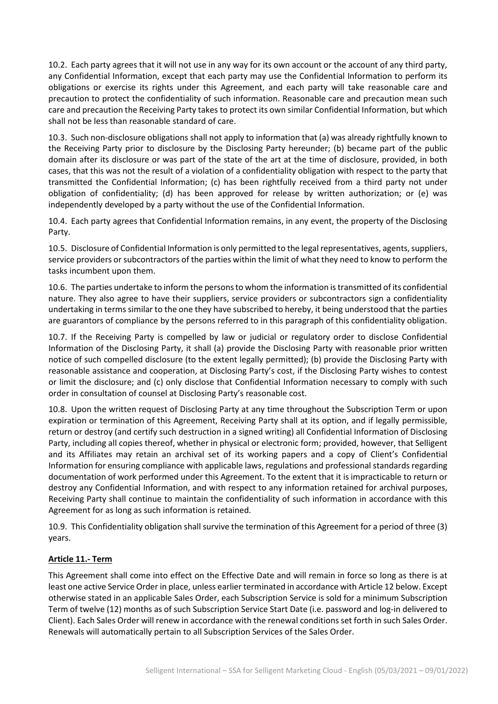10.2. Each party agrees that it will not use in any way for its own account or the account of any third party, any Confidential Information, except that each party may use the Confidential Information to perform its obligations or exercise its rights under this Agreement, and each party will take reasonable care and precaution to protect the confidentiality of such information. Reasonable care and precaution mean such care and precaution the Receiving Party takes to protect its own similar Confidential Information, but which shall not be less than reasonable standard of care.

10.3. Such non-disclosure obligations shall not apply to information that (a) was already rightfully known to the Receiving Party prior to disclosure by the Disclosing Party hereunder; (b) became part of the public domain after its disclosure or was part of the state of the art at the time of disclosure, provided, in both cases, that this was not the result of a violation of a confidentiality obligation with respect to the party that transmitted the Confidential Information; (c) has been rightfully received from a third party not under obligation of confidentiality; (d) has been approved for release by written authorization; or (e) was independently developed by a party without the use of the Confidential Information.

10.4. Each party agrees that Confidential Information remains, in any event, the property of the Disclosing Party.

10.5. Disclosure of Confidential Information is only permitted to the legal representatives, agents, suppliers, service providers or subcontractors of the parties within the limit of what they need to know to perform the tasks incumbent upon them.

10.6. The parties undertake to inform the persons to whom the information is transmitted of its confidential nature. They also agree to have their suppliers, service providers or subcontractors sign a confidentiality undertaking in terms similar to the one they have subscribed to hereby, it being understood that the parties are guarantors of compliance by the persons referred to in this paragraph of this confidentiality obligation.

10.7. If the Receiving Party is compelled by law or judicial or regulatory order to disclose Confidential Information of the Disclosing Party, it shall (a) provide the Disclosing Party with reasonable prior written notice of such compelled disclosure (to the extent legally permitted); (b) provide the Disclosing Party with reasonable assistance and cooperation, at Disclosing Party's cost, if the Disclosing Party wishes to contest or limit the disclosure; and (c) only disclose that Confidential Information necessary to comply with such order in consultation of counsel at Disclosing Party's reasonable cost.

10.8. Upon the written request of Disclosing Party at any time throughout the Subscription Term or upon expiration or termination of this Agreement, Receiving Party shall at its option, and if legally permissible, return or destroy (and certify such destruction in a signed writing) all Confidential Information of Disclosing Party, including all copies thereof, whether in physical or electronic form; provided, however, that Selligent and its Affiliates may retain an archival set of its working papers and a copy of Client's Confidential Information for ensuring compliance with applicable laws, regulations and professional standards regarding documentation of work performed under this Agreement. To the extent that it is impracticable to return or destroy any Confidential Information, and with respect to any information retained for archival purposes, Receiving Party shall continue to maintain the confidentiality of such information in accordance with this Agreement for as long as such information is retained.

10.9. This Confidentiality obligation shall survive the termination of this Agreement for a period of three (3) years.

# **Article 11.- Term**

This Agreement shall come into effect on the Effective Date and will remain in force so long as there is at least one active Service Order in place, unless earlier terminated in accordance with Article 12 below. Except otherwise stated in an applicable Sales Order, each Subscription Service is sold for a minimum Subscription Term of twelve (12) months as of such Subscription Service Start Date (i.e. password and log-in delivered to Client). Each Sales Order will renew in accordance with the renewal conditions set forth in such Sales Order. Renewals will automatically pertain to all Subscription Services of the Sales Order.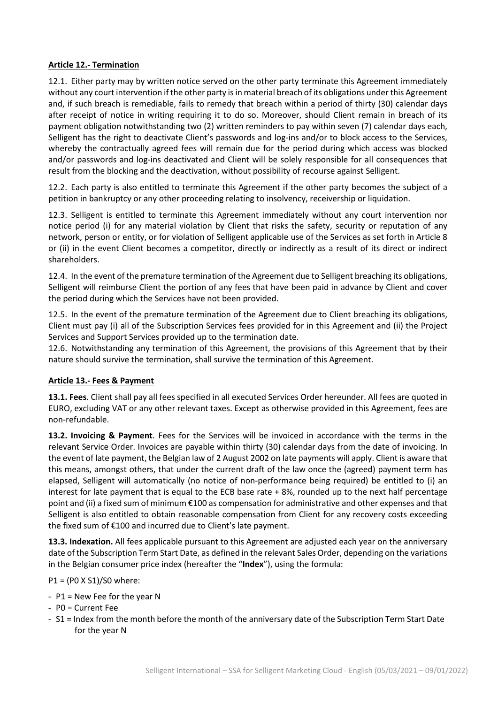# **Article 12.- Termination**

12.1. Either party may by written notice served on the other party terminate this Agreement immediately without any court intervention if the other party is in material breach of its obligations under this Agreement and, if such breach is remediable, fails to remedy that breach within a period of thirty (30) calendar days after receipt of notice in writing requiring it to do so. Moreover, should Client remain in breach of its payment obligation notwithstanding two (2) written reminders to pay within seven (7) calendar days each, Selligent has the right to deactivate Client's passwords and log-ins and/or to block access to the Services, whereby the contractually agreed fees will remain due for the period during which access was blocked and/or passwords and log-ins deactivated and Client will be solely responsible for all consequences that result from the blocking and the deactivation, without possibility of recourse against Selligent.

12.2. Each party is also entitled to terminate this Agreement if the other party becomes the subject of a petition in bankruptcy or any other proceeding relating to insolvency, receivership or liquidation.

12.3. Selligent is entitled to terminate this Agreement immediately without any court intervention nor notice period (i) for any material violation by Client that risks the safety, security or reputation of any network, person or entity, or for violation of Selligent applicable use of the Services as set forth in Article 8 or (ii) in the event Client becomes a competitor, directly or indirectly as a result of its direct or indirect shareholders.

12.4. In the event of the premature termination of the Agreement due to Selligent breaching its obligations, Selligent will reimburse Client the portion of any fees that have been paid in advance by Client and cover the period during which the Services have not been provided.

12.5. In the event of the premature termination of the Agreement due to Client breaching its obligations, Client must pay (i) all of the Subscription Services fees provided for in this Agreement and (ii) the Project Services and Support Services provided up to the termination date.

12.6. Notwithstanding any termination of this Agreement, the provisions of this Agreement that by their nature should survive the termination, shall survive the termination of this Agreement.

#### **Article 13.- Fees & Payment**

**13.1. Fees**. Client shall pay all fees specified in all executed Services Order hereunder. All fees are quoted in EURO, excluding VAT or any other relevant taxes. Except as otherwise provided in this Agreement, fees are non-refundable.

**13.2. Invoicing & Payment**. Fees for the Services will be invoiced in accordance with the terms in the relevant Service Order. Invoices are payable within thirty (30) calendar days from the date of invoicing. In the event of late payment, the Belgian law of 2 August 2002 on late payments will apply. Client is aware that this means, amongst others, that under the current draft of the law once the (agreed) payment term has elapsed, Selligent will automatically (no notice of non-performance being required) be entitled to (i) an interest for late payment that is equal to the ECB base rate  $+ 8\%$ , rounded up to the next half percentage point and (ii) a fixed sum of minimum €100 as compensation for administrative and other expenses and that Selligent is also entitled to obtain reasonable compensation from Client for any recovery costs exceeding the fixed sum of €100 and incurred due to Client's late payment.

**13.3. Indexation.** All fees applicable pursuant to this Agreement are adjusted each year on the anniversary date of the Subscription Term Start Date, as defined in the relevant Sales Order, depending on the variations in the Belgian consumer price index (hereafter the "**Index**"), using the formula:

#### P1 = (P0 X S1)/S0 where:

- P1 = New Fee for the year N
- P0 = Current Fee
- S1 = Index from the month before the month of the anniversary date of the Subscription Term Start Date for the year N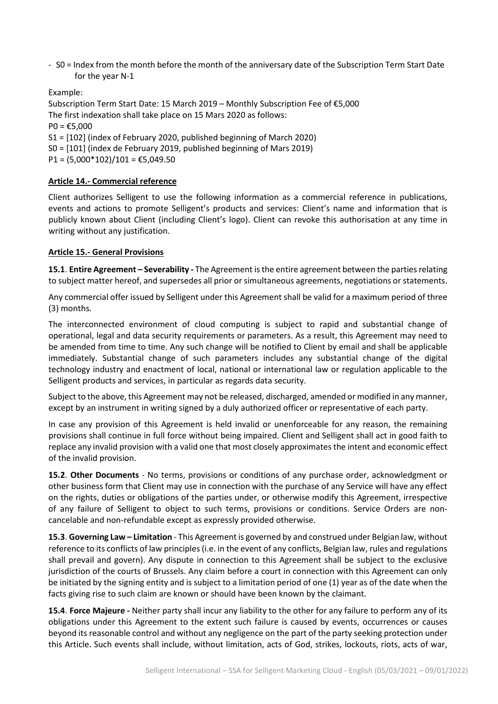- S0 = Index from the month before the month of the anniversary date of the Subscription Term Start Date for the year N-1

Example: Subscription Term Start Date: 15 March 2019 – Monthly Subscription Fee of €5,000 The first indexation shall take place on 15 Mars 2020 as follows:  $PO = £5,000$ S1 = [102] (index of February 2020, published beginning of March 2020) S0 = [101] (index de February 2019, published beginning of Mars 2019) P1 =  $(5,000*102)/101 = €5,049.50$ 

# **Article 14.- Commercial reference**

Client authorizes Selligent to use the following information as a commercial reference in publications, events and actions to promote Selligent's products and services: Client's name and information that is publicly known about Client (including Client's logo). Client can revoke this authorisation at any time in writing without any justification.

#### **Article 15.- General Provisions**

**15.1**. **Entire Agreement – Severability -** The Agreement is the entire agreement between the parties relating to subject matter hereof, and supersedes all prior or simultaneous agreements, negotiations or statements.

Any commercial offer issued by Selligent under this Agreement shall be valid for a maximum period of three (3) months.

The interconnected environment of cloud computing is subject to rapid and substantial change of operational, legal and data security requirements or parameters. As a result, this Agreement may need to be amended from time to time. Any such change will be notified to Client by email and shall be applicable immediately. Substantial change of such parameters includes any substantial change of the digital technology industry and enactment of local, national or international law or regulation applicable to the Selligent products and services, in particular as regards data security.

Subject to the above, this Agreement may not be released, discharged, amended or modified in any manner, except by an instrument in writing signed by a duly authorized officer or representative of each party.

In case any provision of this Agreement is held invalid or unenforceable for any reason, the remaining provisions shall continue in full force without being impaired. Client and Selligent shall act in good faith to replace any invalid provision with a valid one that most closely approximates the intent and economic effect of the invalid provision.

**15.2**. **Other Documents** - No terms, provisions or conditions of any purchase order, acknowledgment or other business form that Client may use in connection with the purchase of any Service will have any effect on the rights, duties or obligations of the parties under, or otherwise modify this Agreement, irrespective of any failure of Selligent to object to such terms, provisions or conditions. Service Orders are noncancelable and non-refundable except as expressly provided otherwise.

**15.3**. **Governing Law – Limitation** - This Agreement is governed by and construed under Belgian law, without reference to its conflicts of law principles (i.e. in the event of any conflicts, Belgian law, rules and regulations shall prevail and govern). Any dispute in connection to this Agreement shall be subject to the exclusive jurisdiction of the courts of Brussels. Any claim before a court in connection with this Agreement can only be initiated by the signing entity and is subject to a limitation period of one (1) year as of the date when the facts giving rise to such claim are known or should have been known by the claimant.

**15.4**. **Force Majeure -** Neither party shall incur any liability to the other for any failure to perform any of its obligations under this Agreement to the extent such failure is caused by events, occurrences or causes beyond its reasonable control and without any negligence on the part of the party seeking protection under this Article. Such events shall include, without limitation, acts of God, strikes, lockouts, riots, acts of war,